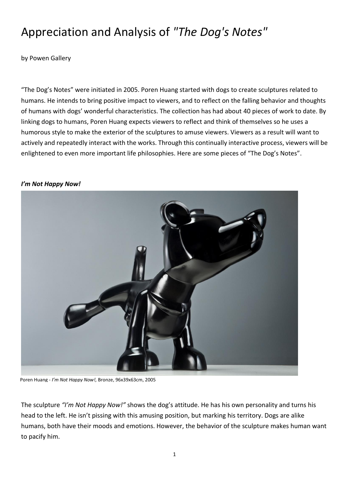# Appreciation and Analysis of *"The Dog's Notes"*

by Powen Gallery

"The Dog's Notes" were initiated in 2005. Poren Huang started with dogs to create sculptures related to humans. He intends to bring positive impact to viewers, and to reflect on the falling behavior and thoughts of humans with dogs' wonderful characteristics. The collection has had about 40 pieces of work to date. By linking dogs to humans, Poren Huang expects viewers to reflect and think of themselves so he uses a humorous style to make the exterior of the sculptures to amuse viewers. Viewers as a result will want to actively and repeatedly interact with the works. Through this continually interactive process, viewers will be enlightened to even more important life philosophies. Here are some pieces of "The Dog's Notes".

#### *I'm Not Happy Now!*



Poren Huang - *I'm Not Happy Now!,* Bronze, 96x39x63cm, 2005

The sculpture *"I'm Not Happy Now!"* shows the dog's attitude. He has his own personality and turns his head to the left. He isn't pissing with this amusing position, but marking his territory. Dogs are alike humans, both have their moods and emotions. However, the behavior of the sculpture makes human want to pacify him.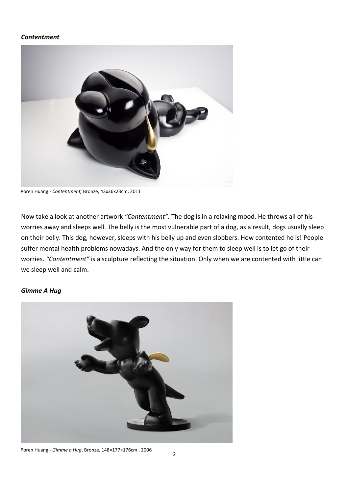## *Contentment*



Poren Huang - *Contentment,* Bronze, 43x36x23cm, 2011

Now take a look at another artwork *"Contentment".* The dog is in a relaxing mood. He throws all of his worries away and sleeps well. The belly is the most vulnerable part of a dog, as a result, dogs usually sleep on their belly. This dog, however, sleeps with his belly up and even slobbers. How contented he is! People suffer mental health problems nowadays. And the only way for them to sleep well is to let go of their worries. *"Contentment"* is a sculpture reflecting the situation. Only when we are contented with little can we sleep well and calm.

## *Gimme A Hug*



Poren Huang - *Gimme a Hug*, Bronze, 148×177×176cm , 2006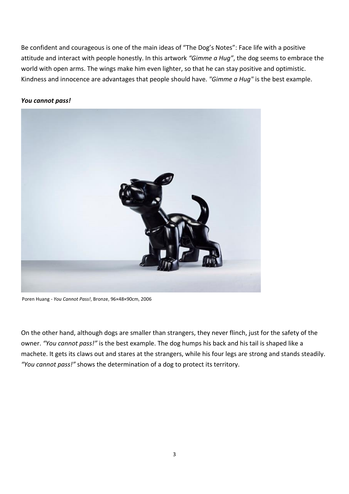Be confident and [courageous](http://www.thefreedictionary.com/courageous) is one of the main ideas of "The Dog's Notes": Face life with a positive attitude and interact with people honestly. In this artwork *"Gimme a Hug"*, the dog seems to embrace the world with open arms. The wings make him even lighter, so that he can stay positive and optimistic. Kindness and innocence are advantages that people should have. *"Gimme a Hug"* is the best example.



#### *You cannot pass!*

Poren Huang *- You Cannot Pass!*, Bronze, 96×48×90cm, 2006

On the other hand, although dogs are smaller than strangers, they never flinch, just for the safety of the owner. *"You cannot pass!"* is the best example. The dog humps his back and his tail is shaped like a machete. It gets its claws out and stares at the strangers, while his four legs are strong and stands steadily. *"You cannot pass!"* shows the determination of a dog to protect its territory.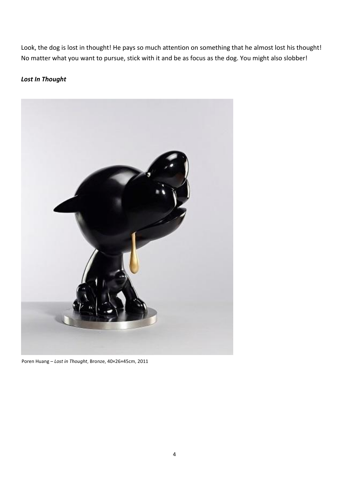Look, the dog is lost in thought! He pays so much attention on something that he almost lost his thought! No matter what you want to pursue, stick with it and be as focus as the dog. You might also slobber!

# *Lost In Thought*



Poren Huang *– Lost in Thought*, Bronze, 40×26×45cm, 2011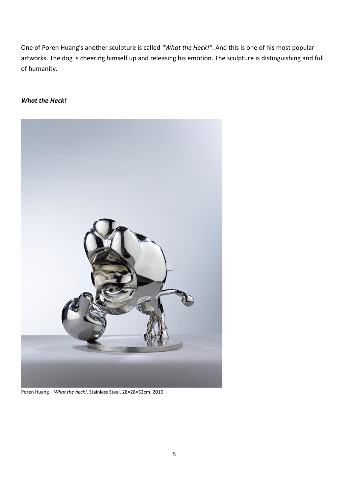One of Poren Huang's another sculpture is called *"What the Heck!"*. And this is one of his most popular artworks. The dog is cheering himself up and releasing his emotion. The sculpture is distinguishing and full of humanity.

# *What the Heck!*



Poren Huang *– What the heck!*, Stainless Steel, 28×28×32cm, 2010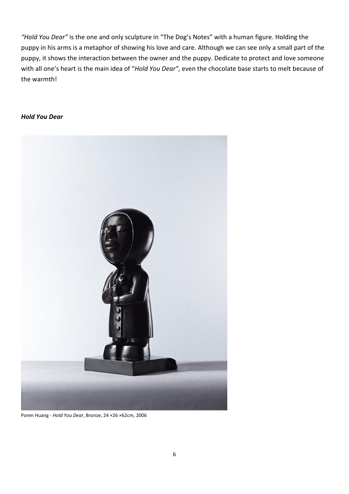*"Hold You Dear"* is the one and only sculpture in "The Dog's Notes" with a human figure. Holding the puppy in his arms is a metaphor of showing his love and care. Although we can see only a small part of the puppy, it shows the interaction between the owner and the puppy. Dedicate to protect and love someone with all one's heart is the main idea of "*Hold You Dear"*, even the chocolate base starts to melt because of the warmth!

## *Hold You Dear*



Poren Huang *- Hold You Dear*, Bronze, 24 [×2](https://zh.wikipedia.org/zh-tw/%C3%97)6 [×6](https://zh.wikipedia.org/zh-tw/%C3%97)2cm, 2006